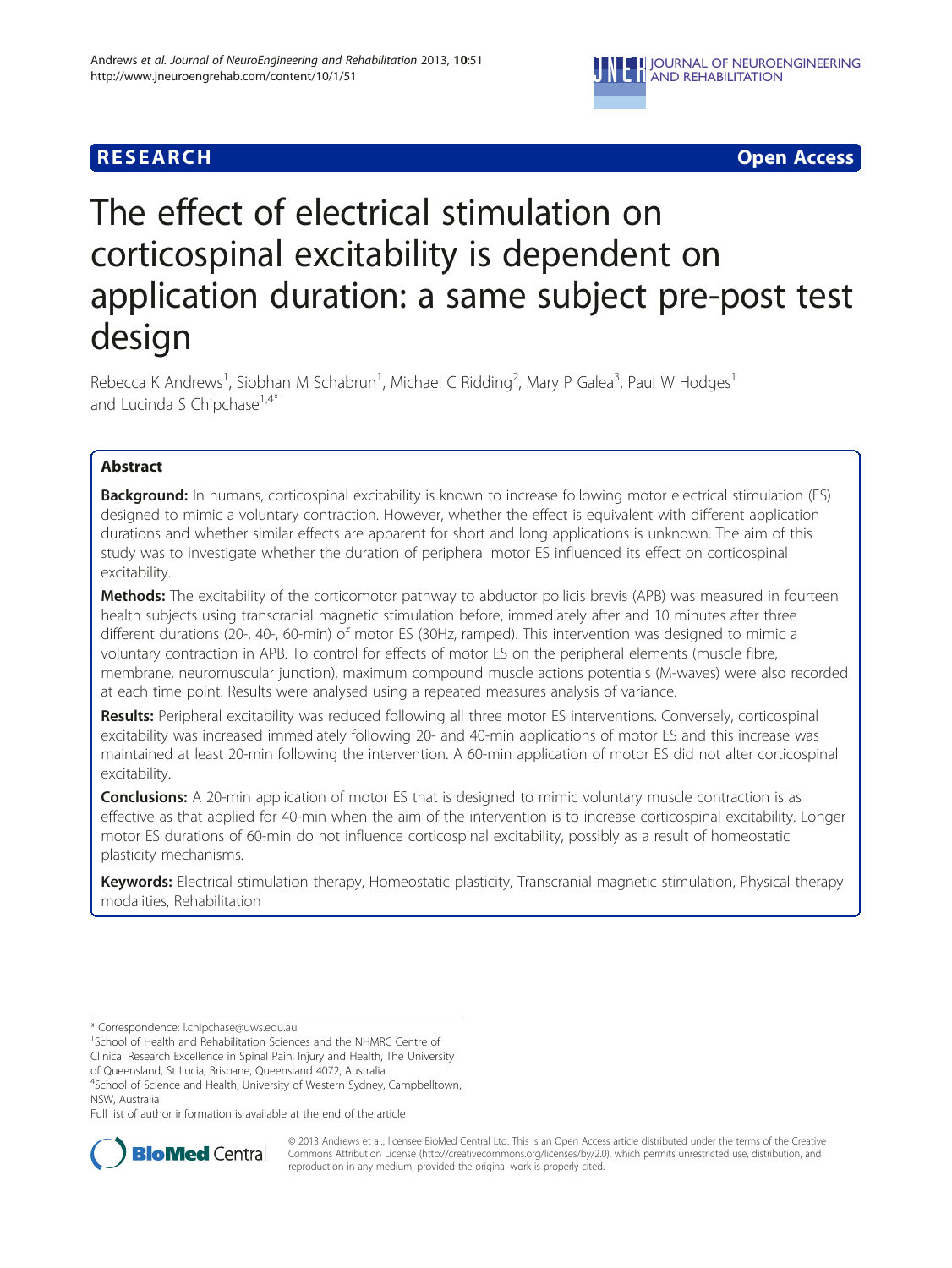

# **RESEARCH CHINESE ARCH CHINESE ARCH**

# The effect of electrical stimulation on corticospinal excitability is dependent on application duration: a same subject pre-post test design

Rebecca K Andrews<sup>1</sup>, Siobhan M Schabrun<sup>1</sup>, Michael C Ridding<sup>2</sup>, Mary P Galea<sup>3</sup>, Paul W Hodges<sup>1</sup> and Lucinda S Chipchase $1.4*$ 

# Abstract

Background: In humans, corticospinal excitability is known to increase following motor electrical stimulation (ES) designed to mimic a voluntary contraction. However, whether the effect is equivalent with different application durations and whether similar effects are apparent for short and long applications is unknown. The aim of this study was to investigate whether the duration of peripheral motor ES influenced its effect on corticospinal excitability.

**Methods:** The excitability of the corticomotor pathway to abductor pollicis brevis (APB) was measured in fourteen health subjects using transcranial magnetic stimulation before, immediately after and 10 minutes after three different durations (20-, 40-, 60-min) of motor ES (30Hz, ramped). This intervention was designed to mimic a voluntary contraction in APB. To control for effects of motor ES on the peripheral elements (muscle fibre, membrane, neuromuscular junction), maximum compound muscle actions potentials (M-waves) were also recorded at each time point. Results were analysed using a repeated measures analysis of variance.

Results: Peripheral excitability was reduced following all three motor ES interventions. Conversely, corticospinal excitability was increased immediately following 20- and 40-min applications of motor ES and this increase was maintained at least 20-min following the intervention. A 60-min application of motor ES did not alter corticospinal excitability.

**Conclusions:** A 20-min application of motor ES that is designed to mimic voluntary muscle contraction is as effective as that applied for 40-min when the aim of the intervention is to increase corticospinal excitability. Longer motor ES durations of 60-min do not influence corticospinal excitability, possibly as a result of homeostatic plasticity mechanisms.

Keywords: Electrical stimulation therapy, Homeostatic plasticity, Transcranial magnetic stimulation, Physical therapy modalities, Rehabilitation

Clinical Research Excellence in Spinal Pain, Injury and Health, The University

of Queensland, St Lucia, Brisbane, Queensland 4072, Australia

<sup>4</sup>School of Science and Health, University of Western Sydney, Campbelltown, NSW, Australia

Full list of author information is available at the end of the article



© 2013 Andrews et al.; licensee BioMed Central Ltd. This is an Open Access article distributed under the terms of the Creative Commons Attribution License [\(http://creativecommons.org/licenses/by/2.0\)](http://creativecommons.org/licenses/by/2.0), which permits unrestricted use, distribution, and reproduction in any medium, provided the original work is properly cited.

<sup>\*</sup> Correspondence: [l.chipchase@uws.edu.au](mailto:l.chipchase@uws.edu.au) <sup>1</sup>

<sup>&</sup>lt;sup>1</sup>School of Health and Rehabilitation Sciences and the NHMRC Centre of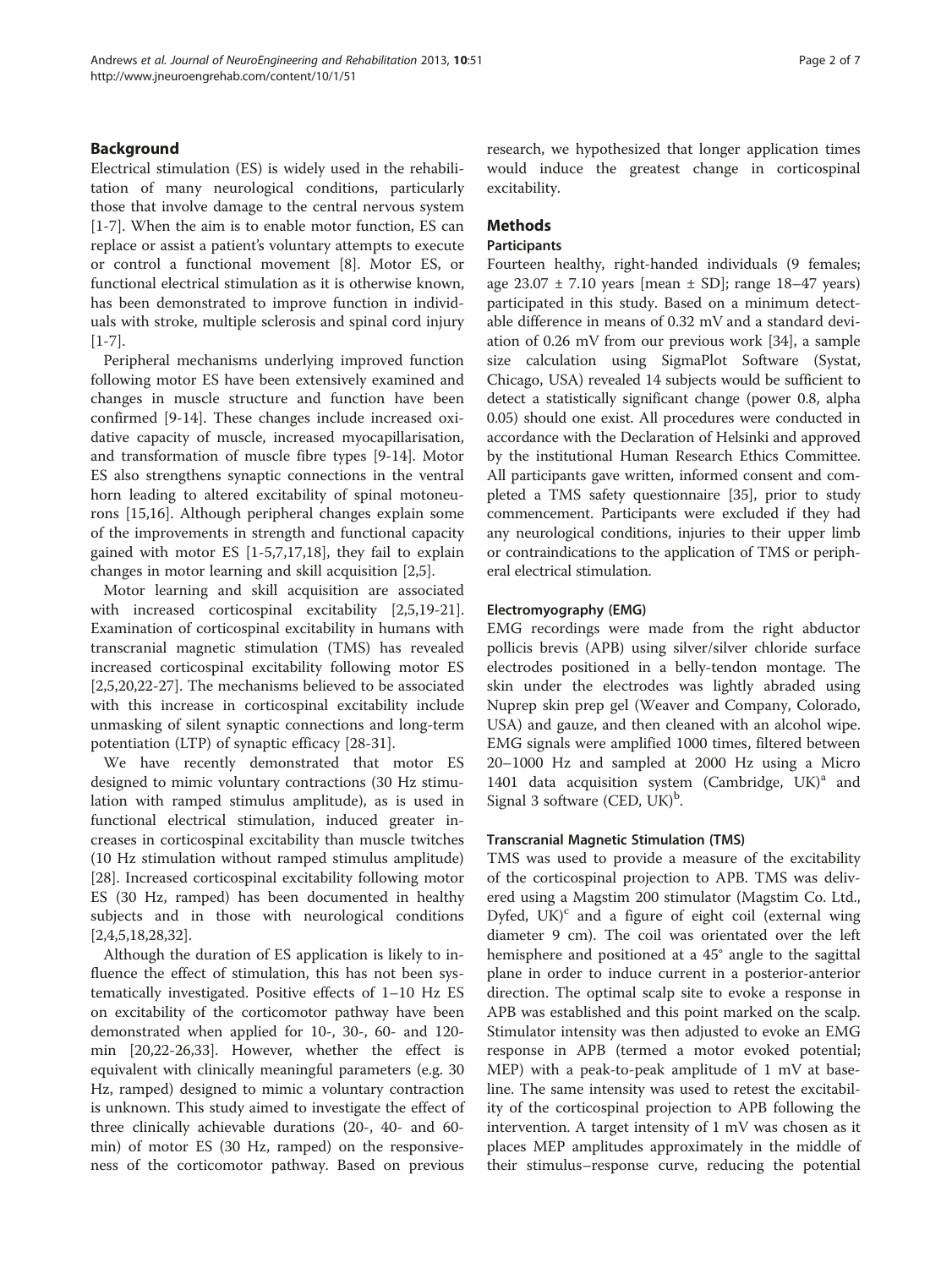# Background

Electrical stimulation (ES) is widely used in the rehabilitation of many neurological conditions, particularly those that involve damage to the central nervous system [[1-7](#page-5-0)]. When the aim is to enable motor function, ES can replace or assist a patient's voluntary attempts to execute or control a functional movement [\[8](#page-5-0)]. Motor ES, or functional electrical stimulation as it is otherwise known, has been demonstrated to improve function in individuals with stroke, multiple sclerosis and spinal cord injury [[1-7](#page-5-0)].

Peripheral mechanisms underlying improved function following motor ES have been extensively examined and changes in muscle structure and function have been confirmed [[9-14](#page-5-0)]. These changes include increased oxidative capacity of muscle, increased myocapillarisation, and transformation of muscle fibre types [[9-14\]](#page-5-0). Motor ES also strengthens synaptic connections in the ventral horn leading to altered excitability of spinal motoneurons [[15](#page-5-0),[16](#page-5-0)]. Although peripheral changes explain some of the improvements in strength and functional capacity gained with motor ES [[1-5](#page-5-0),[7](#page-5-0),[17](#page-5-0),[18](#page-5-0)], they fail to explain changes in motor learning and skill acquisition [\[2,5](#page-5-0)].

Motor learning and skill acquisition are associated with increased corticospinal excitability [[2,5,19-21](#page-5-0)]. Examination of corticospinal excitability in humans with transcranial magnetic stimulation (TMS) has revealed increased corticospinal excitability following motor ES [[2,5,20,22-27](#page-5-0)]. The mechanisms believed to be associated with this increase in corticospinal excitability include unmasking of silent synaptic connections and long-term potentiation (LTP) of synaptic efficacy [[28-31](#page-5-0)].

We have recently demonstrated that motor ES designed to mimic voluntary contractions (30 Hz stimulation with ramped stimulus amplitude), as is used in functional electrical stimulation, induced greater increases in corticospinal excitability than muscle twitches (10 Hz stimulation without ramped stimulus amplitude) [[28\]](#page-5-0). Increased corticospinal excitability following motor ES (30 Hz, ramped) has been documented in healthy subjects and in those with neurological conditions [[2,4,5,18,28,32\]](#page-5-0).

Although the duration of ES application is likely to influence the effect of stimulation, this has not been systematically investigated. Positive effects of 1–10 Hz ES on excitability of the corticomotor pathway have been demonstrated when applied for 10-, 30-, 60- and 120 min [\[20,22](#page-5-0)-[26](#page-5-0),[33](#page-5-0)]. However, whether the effect is equivalent with clinically meaningful parameters (e.g. 30 Hz, ramped) designed to mimic a voluntary contraction is unknown. This study aimed to investigate the effect of three clinically achievable durations (20-, 40- and 60 min) of motor ES (30 Hz, ramped) on the responsiveness of the corticomotor pathway. Based on previous

research, we hypothesized that longer application times would induce the greatest change in corticospinal excitability.

# Methods

## **Participants**

Fourteen healthy, right-handed individuals (9 females; age  $23.07 \pm 7.10$  years [mean  $\pm$  SD]; range 18–47 years) participated in this study. Based on a minimum detectable difference in means of 0.32 mV and a standard deviation of 0.26 mV from our previous work [[34\]](#page-5-0), a sample size calculation using SigmaPlot Software (Systat, Chicago, USA) revealed 14 subjects would be sufficient to detect a statistically significant change (power 0.8, alpha 0.05) should one exist. All procedures were conducted in accordance with the Declaration of Helsinki and approved by the institutional Human Research Ethics Committee. All participants gave written, informed consent and completed a TMS safety questionnaire [[35](#page-5-0)], prior to study commencement. Participants were excluded if they had any neurological conditions, injuries to their upper limb or contraindications to the application of TMS or peripheral electrical stimulation.

# Electromyography (EMG)

EMG recordings were made from the right abductor pollicis brevis (APB) using silver/silver chloride surface electrodes positioned in a belly-tendon montage. The skin under the electrodes was lightly abraded using Nuprep skin prep gel (Weaver and Company, Colorado, USA) and gauze, and then cleaned with an alcohol wipe. EMG signals were amplified 1000 times, filtered between 20–1000 Hz and sampled at 2000 Hz using a Micro 1401 data acquisition system (Cambridge,  $UK)^a$  and Signal 3 software (CED, UK)<sup>b</sup>.

## Transcranial Magnetic Stimulation (TMS)

TMS was used to provide a measure of the excitability of the corticospinal projection to APB. TMS was delivered using a Magstim 200 stimulator (Magstim Co. Ltd., Dyfed,  $UK)^c$  and a figure of eight coil (external wing diameter 9 cm). The coil was orientated over the left hemisphere and positioned at a 45° angle to the sagittal plane in order to induce current in a posterior-anterior direction. The optimal scalp site to evoke a response in APB was established and this point marked on the scalp. Stimulator intensity was then adjusted to evoke an EMG response in APB (termed a motor evoked potential; MEP) with a peak-to-peak amplitude of 1 mV at baseline. The same intensity was used to retest the excitability of the corticospinal projection to APB following the intervention. A target intensity of 1 mV was chosen as it places MEP amplitudes approximately in the middle of their stimulus–response curve, reducing the potential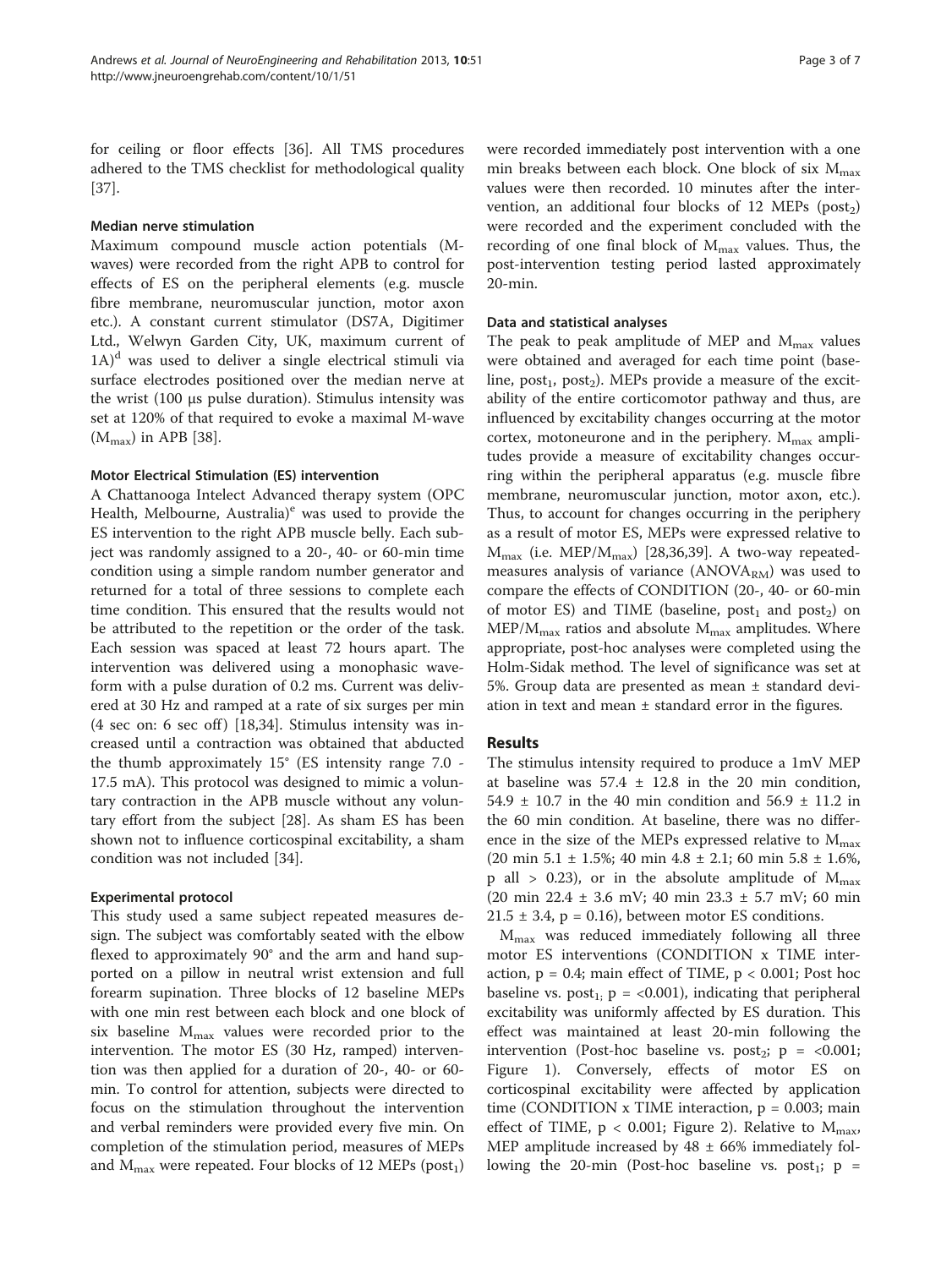for ceiling or floor effects [[36](#page-5-0)]. All TMS procedures adhered to the TMS checklist for methodological quality [[37\]](#page-5-0).

#### Median nerve stimulation

Maximum compound muscle action potentials (Mwaves) were recorded from the right APB to control for effects of ES on the peripheral elements (e.g. muscle fibre membrane, neuromuscular junction, motor axon etc.). A constant current stimulator (DS7A, Digitimer Ltd., Welwyn Garden City, UK, maximum current of  $1A$ <sup>d</sup> was used to deliver a single electrical stimuli via surface electrodes positioned over the median nerve at the wrist (100 μs pulse duration). Stimulus intensity was set at 120% of that required to evoke a maximal M-wave  $(M_{max})$  in APB [[38](#page-6-0)].

#### Motor Electrical Stimulation (ES) intervention

A Chattanooga Intelect Advanced therapy system (OPC Health, Melbourne, Australia)<sup>e</sup> was used to provide the ES intervention to the right APB muscle belly. Each subject was randomly assigned to a 20-, 40- or 60-min time condition using a simple random number generator and returned for a total of three sessions to complete each time condition. This ensured that the results would not be attributed to the repetition or the order of the task. Each session was spaced at least 72 hours apart. The intervention was delivered using a monophasic waveform with a pulse duration of 0.2 ms. Current was delivered at 30 Hz and ramped at a rate of six surges per min  $(4 \text{ sec on: } 6 \text{ sec off})$  [[18,34\]](#page-5-0). Stimulus intensity was increased until a contraction was obtained that abducted the thumb approximately 15° (ES intensity range 7.0 - 17.5 mA). This protocol was designed to mimic a voluntary contraction in the APB muscle without any voluntary effort from the subject [\[28](#page-5-0)]. As sham ES has been shown not to influence corticospinal excitability, a sham condition was not included [[34](#page-5-0)].

#### Experimental protocol

This study used a same subject repeated measures design. The subject was comfortably seated with the elbow flexed to approximately 90° and the arm and hand supported on a pillow in neutral wrist extension and full forearm supination. Three blocks of 12 baseline MEPs with one min rest between each block and one block of six baseline  $M_{\text{max}}$  values were recorded prior to the intervention. The motor ES (30 Hz, ramped) intervention was then applied for a duration of 20-, 40- or 60 min. To control for attention, subjects were directed to focus on the stimulation throughout the intervention and verbal reminders were provided every five min. On completion of the stimulation period, measures of MEPs and  $M_{\text{max}}$  were repeated. Four blocks of 12 MEPs (post<sub>1</sub>)

were recorded immediately post intervention with a one min breaks between each block. One block of six  $M_{max}$ values were then recorded. 10 minutes after the intervention, an additional four blocks of 12 MEPs ( $post<sub>2</sub>$ ) were recorded and the experiment concluded with the recording of one final block of  $M_{\text{max}}$  values. Thus, the post-intervention testing period lasted approximately 20-min.

#### Data and statistical analyses

The peak to peak amplitude of MEP and  $M_{\text{max}}$  values were obtained and averaged for each time point (baseline, post<sub>1</sub>, post<sub>2</sub>). MEPs provide a measure of the excitability of the entire corticomotor pathway and thus, are influenced by excitability changes occurring at the motor cortex, motoneurone and in the periphery.  $M_{\text{max}}$  amplitudes provide a measure of excitability changes occurring within the peripheral apparatus (e.g. muscle fibre membrane, neuromuscular junction, motor axon, etc.). Thus, to account for changes occurring in the periphery as a result of motor ES, MEPs were expressed relative to  $M_{\text{max}}$  (i.e. MEP/ $M_{\text{max}}$ ) [[28,36](#page-5-0),[39](#page-6-0)]. A two-way repeatedmeasures analysis of variance  $(ANOVA<sub>RM</sub>)$  was used to compare the effects of CONDITION (20-, 40- or 60-min of motor ES) and TIME (baseline,  $post_1$  and  $post_2$ ) on  $MEP/M<sub>max</sub>$  ratios and absolute  $M<sub>max</sub>$  amplitudes. Where appropriate, post-hoc analyses were completed using the Holm-Sidak method. The level of significance was set at 5%. Group data are presented as mean ± standard deviation in text and mean  $\pm$  standard error in the figures.

#### Results

The stimulus intensity required to produce a 1mV MEP at baseline was  $57.4 \pm 12.8$  in the 20 min condition, 54.9  $\pm$  10.7 in the 40 min condition and 56.9  $\pm$  11.2 in the 60 min condition. At baseline, there was no difference in the size of the MEPs expressed relative to  $M_{\text{max}}$ (20 min 5.1 ± 1.5%; 40 min 4.8 ± 2.1; 60 min 5.8 ± 1.6%, p all > 0.23), or in the absolute amplitude of  $M_{\text{max}}$ (20 min 22.4 ± 3.6 mV; 40 min 23.3 ± 5.7 mV; 60 min  $21.5 \pm 3.4$ , p = 0.16), between motor ES conditions.

 $M_{\text{max}}$  was reduced immediately following all three motor ES interventions (CONDITION x TIME interaction,  $p = 0.4$ ; main effect of TIME,  $p < 0.001$ ; Post hoc baseline vs.  $post_{1}$ ,  $p = <0.001$ ), indicating that peripheral excitability was uniformly affected by ES duration. This effect was maintained at least 20-min following the intervention (Post-hoc baseline vs. post<sub>2</sub>;  $p = <0.001$ ; Figure [1](#page-3-0)). Conversely, effects of motor ES on corticospinal excitability were affected by application time (CONDITION  $x$  TIME interaction,  $p = 0.003$ ; main effect of TIME,  $p < 0.001$ ; Figure [2\)](#page-3-0). Relative to  $M_{\text{max}}$ , MEP amplitude increased by  $48 \pm 66\%$  immediately following the 20-min (Post-hoc baseline vs. post<sub>1</sub>;  $p=$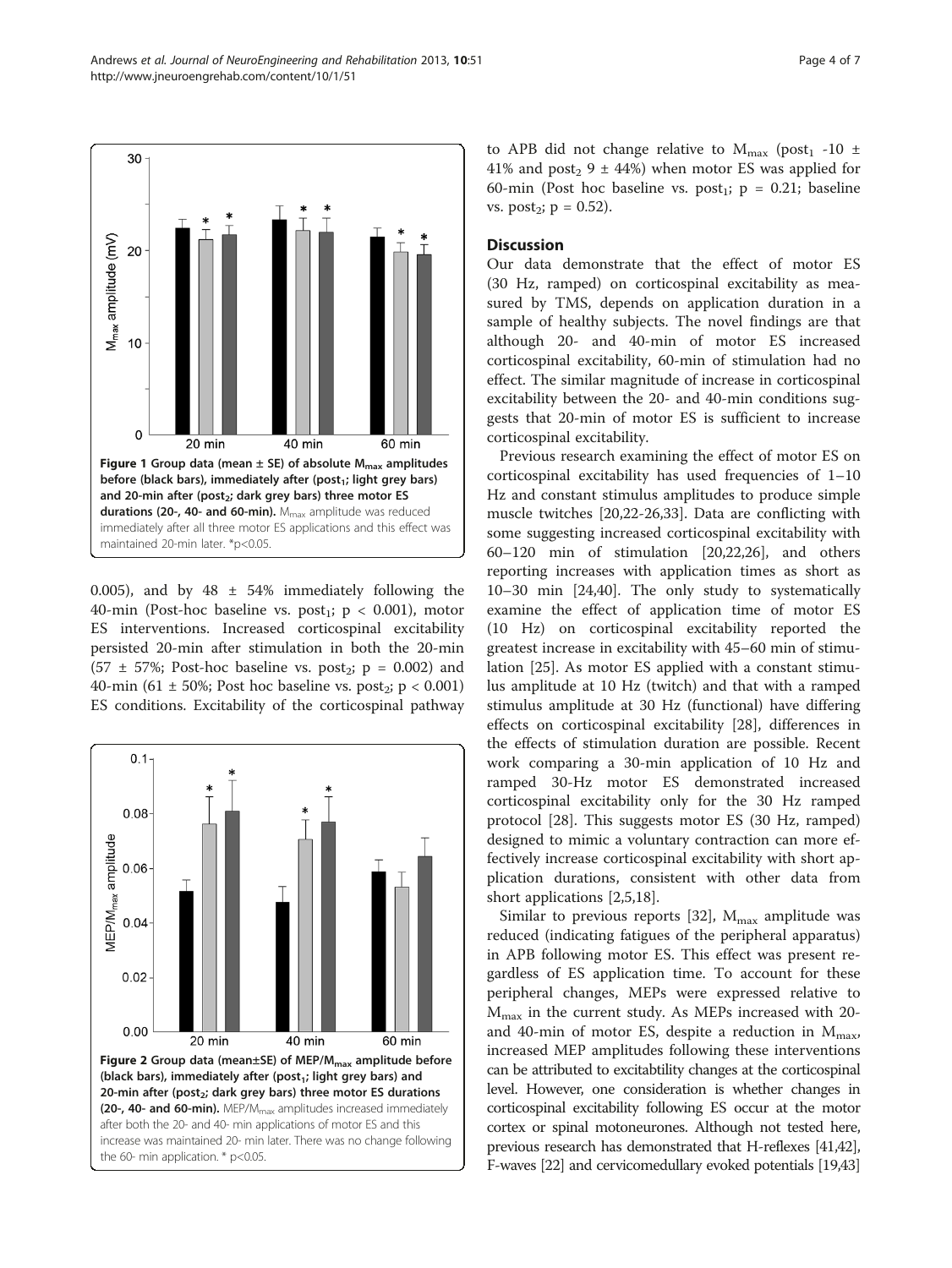0.005), and by  $48 \pm 54\%$  immediately following the 40-min (Post-hoc baseline vs. post<sub>1</sub>;  $p < 0.001$ ), motor ES interventions. Increased corticospinal excitability persisted 20-min after stimulation in both the 20-min  $(57 \pm 57\%)$ ; Post-hoc baseline vs. post<sub>2</sub>; p = 0.002) and 40-min (61  $\pm$  50%; Post hoc baseline vs. post<sub>2</sub>; p < 0.001) ES conditions. Excitability of the corticospinal pathway



to APB did not change relative to  $M_{\text{max}}$  (post<sub>1</sub> -10  $\pm$ 41% and post<sub>2</sub> 9  $\pm$  44%) when motor ES was applied for 60-min (Post hoc baseline vs. post<sub>1</sub>;  $p = 0.21$ ; baseline vs. post<sub>2</sub>;  $p = 0.52$ ).

#### **Discussion**

Our data demonstrate that the effect of motor ES (30 Hz, ramped) on corticospinal excitability as measured by TMS, depends on application duration in a sample of healthy subjects. The novel findings are that although 20- and 40-min of motor ES increased corticospinal excitability, 60-min of stimulation had no effect. The similar magnitude of increase in corticospinal excitability between the 20- and 40-min conditions suggests that 20-min of motor ES is sufficient to increase corticospinal excitability.

Previous research examining the effect of motor ES on corticospinal excitability has used frequencies of 1–10 Hz and constant stimulus amplitudes to produce simple muscle twitches [[20,22-26,33\]](#page-5-0). Data are conflicting with some suggesting increased corticospinal excitability with 60–120 min of stimulation [\[20,22,26\]](#page-5-0), and others reporting increases with application times as short as 10–30 min [[24](#page-5-0),[40](#page-6-0)]. The only study to systematically examine the effect of application time of motor ES (10 Hz) on corticospinal excitability reported the greatest increase in excitability with 45–60 min of stimulation [[25\]](#page-5-0). As motor ES applied with a constant stimulus amplitude at 10 Hz (twitch) and that with a ramped stimulus amplitude at 30 Hz (functional) have differing effects on corticospinal excitability [\[28](#page-5-0)], differences in the effects of stimulation duration are possible. Recent work comparing a 30-min application of 10 Hz and ramped 30-Hz motor ES demonstrated increased corticospinal excitability only for the 30 Hz ramped protocol [\[28](#page-5-0)]. This suggests motor ES (30 Hz, ramped) designed to mimic a voluntary contraction can more effectively increase corticospinal excitability with short application durations, consistent with other data from short applications [[2,5,18\]](#page-5-0).

Similar to previous reports [\[32\]](#page-5-0),  $M_{\text{max}}$  amplitude was reduced (indicating fatigues of the peripheral apparatus) in APB following motor ES. This effect was present regardless of ES application time. To account for these peripheral changes, MEPs were expressed relative to  $M_{\text{max}}$  in the current study. As MEPs increased with 20and 40-min of motor ES, despite a reduction in  $M_{\text{max}}$ , increased MEP amplitudes following these interventions can be attributed to excitabtility changes at the corticospinal level. However, one consideration is whether changes in corticospinal excitability following ES occur at the motor cortex or spinal motoneurones. Although not tested here, previous research has demonstrated that H-reflexes [\[41,42](#page-6-0)], F-waves [\[22](#page-5-0)] and cervicomedullary evoked potentials [\[19](#page-5-0)[,43](#page-6-0)]

<span id="page-3-0"></span>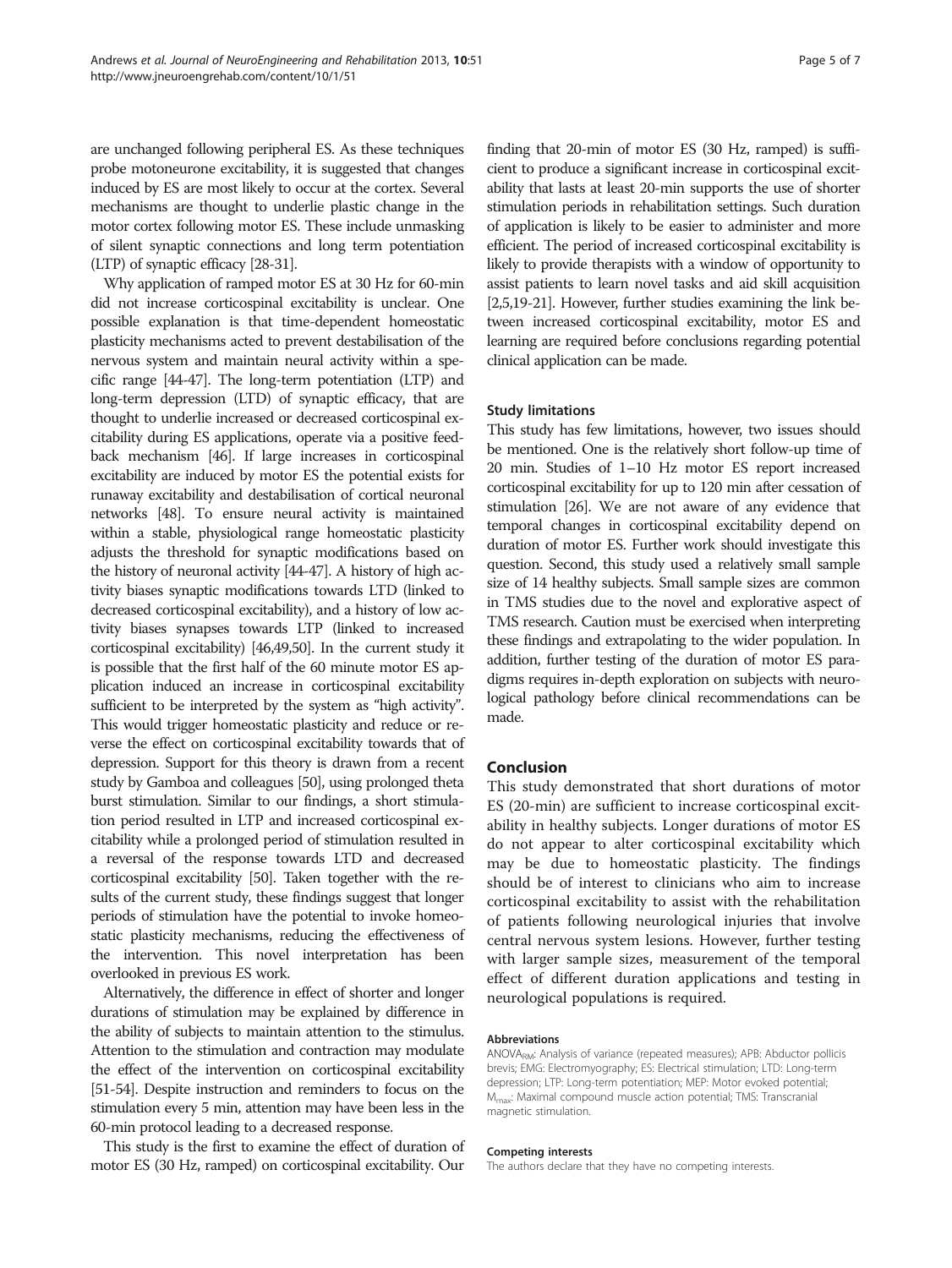are unchanged following peripheral ES. As these techniques probe motoneurone excitability, it is suggested that changes induced by ES are most likely to occur at the cortex. Several mechanisms are thought to underlie plastic change in the motor cortex following motor ES. These include unmasking of silent synaptic connections and long term potentiation (LTP) of synaptic efficacy [\[28-31](#page-5-0)].

Why application of ramped motor ES at 30 Hz for 60-min did not increase corticospinal excitability is unclear. One possible explanation is that time-dependent homeostatic plasticity mechanisms acted to prevent destabilisation of the nervous system and maintain neural activity within a specific range [\[44-47](#page-6-0)]. The long-term potentiation (LTP) and long-term depression (LTD) of synaptic efficacy, that are thought to underlie increased or decreased corticospinal excitability during ES applications, operate via a positive feedback mechanism [\[46](#page-6-0)]. If large increases in corticospinal excitability are induced by motor ES the potential exists for runaway excitability and destabilisation of cortical neuronal networks [\[48\]](#page-6-0). To ensure neural activity is maintained within a stable, physiological range homeostatic plasticity adjusts the threshold for synaptic modifications based on the history of neuronal activity [[44-47\]](#page-6-0). A history of high activity biases synaptic modifications towards LTD (linked to decreased corticospinal excitability), and a history of low activity biases synapses towards LTP (linked to increased corticospinal excitability) [\[46,49,50\]](#page-6-0). In the current study it is possible that the first half of the 60 minute motor ES application induced an increase in corticospinal excitability sufficient to be interpreted by the system as "high activity". This would trigger homeostatic plasticity and reduce or reverse the effect on corticospinal excitability towards that of depression. Support for this theory is drawn from a recent study by Gamboa and colleagues [\[50](#page-6-0)], using prolonged theta burst stimulation. Similar to our findings, a short stimulation period resulted in LTP and increased corticospinal excitability while a prolonged period of stimulation resulted in a reversal of the response towards LTD and decreased corticospinal excitability [[50\]](#page-6-0). Taken together with the results of the current study, these findings suggest that longer periods of stimulation have the potential to invoke homeostatic plasticity mechanisms, reducing the effectiveness of the intervention. This novel interpretation has been overlooked in previous ES work.

Alternatively, the difference in effect of shorter and longer durations of stimulation may be explained by difference in the ability of subjects to maintain attention to the stimulus. Attention to the stimulation and contraction may modulate the effect of the intervention on corticospinal excitability [[51-54\]](#page-6-0). Despite instruction and reminders to focus on the stimulation every 5 min, attention may have been less in the 60-min protocol leading to a decreased response.

This study is the first to examine the effect of duration of motor ES (30 Hz, ramped) on corticospinal excitability. Our

finding that 20-min of motor ES (30 Hz, ramped) is sufficient to produce a significant increase in corticospinal excitability that lasts at least 20-min supports the use of shorter stimulation periods in rehabilitation settings. Such duration of application is likely to be easier to administer and more efficient. The period of increased corticospinal excitability is likely to provide therapists with a window of opportunity to assist patients to learn novel tasks and aid skill acquisition [[2,5,19-21\]](#page-5-0). However, further studies examining the link between increased corticospinal excitability, motor ES and learning are required before conclusions regarding potential clinical application can be made.

#### Study limitations

This study has few limitations, however, two issues should be mentioned. One is the relatively short follow-up time of 20 min. Studies of 1–10 Hz motor ES report increased corticospinal excitability for up to 120 min after cessation of stimulation [\[26](#page-5-0)]. We are not aware of any evidence that temporal changes in corticospinal excitability depend on duration of motor ES. Further work should investigate this question. Second, this study used a relatively small sample size of 14 healthy subjects. Small sample sizes are common in TMS studies due to the novel and explorative aspect of TMS research. Caution must be exercised when interpreting these findings and extrapolating to the wider population. In addition, further testing of the duration of motor ES paradigms requires in-depth exploration on subjects with neurological pathology before clinical recommendations can be made.

#### Conclusion

This study demonstrated that short durations of motor ES (20-min) are sufficient to increase corticospinal excitability in healthy subjects. Longer durations of motor ES do not appear to alter corticospinal excitability which may be due to homeostatic plasticity. The findings should be of interest to clinicians who aim to increase corticospinal excitability to assist with the rehabilitation of patients following neurological injuries that involve central nervous system lesions. However, further testing with larger sample sizes, measurement of the temporal effect of different duration applications and testing in neurological populations is required.

#### Abbreviations

ANOVA<sub>RM</sub>: Analysis of variance (repeated measures); APB: Abductor pollicis brevis; EMG: Electromyography; ES: Electrical stimulation; LTD: Long-term depression; LTP: Long-term potentiation; MEP: Motor evoked potential; Mmax: Maximal compound muscle action potential; TMS: Transcranial magnetic stimulation.

#### Competing interests

The authors declare that they have no competing interests.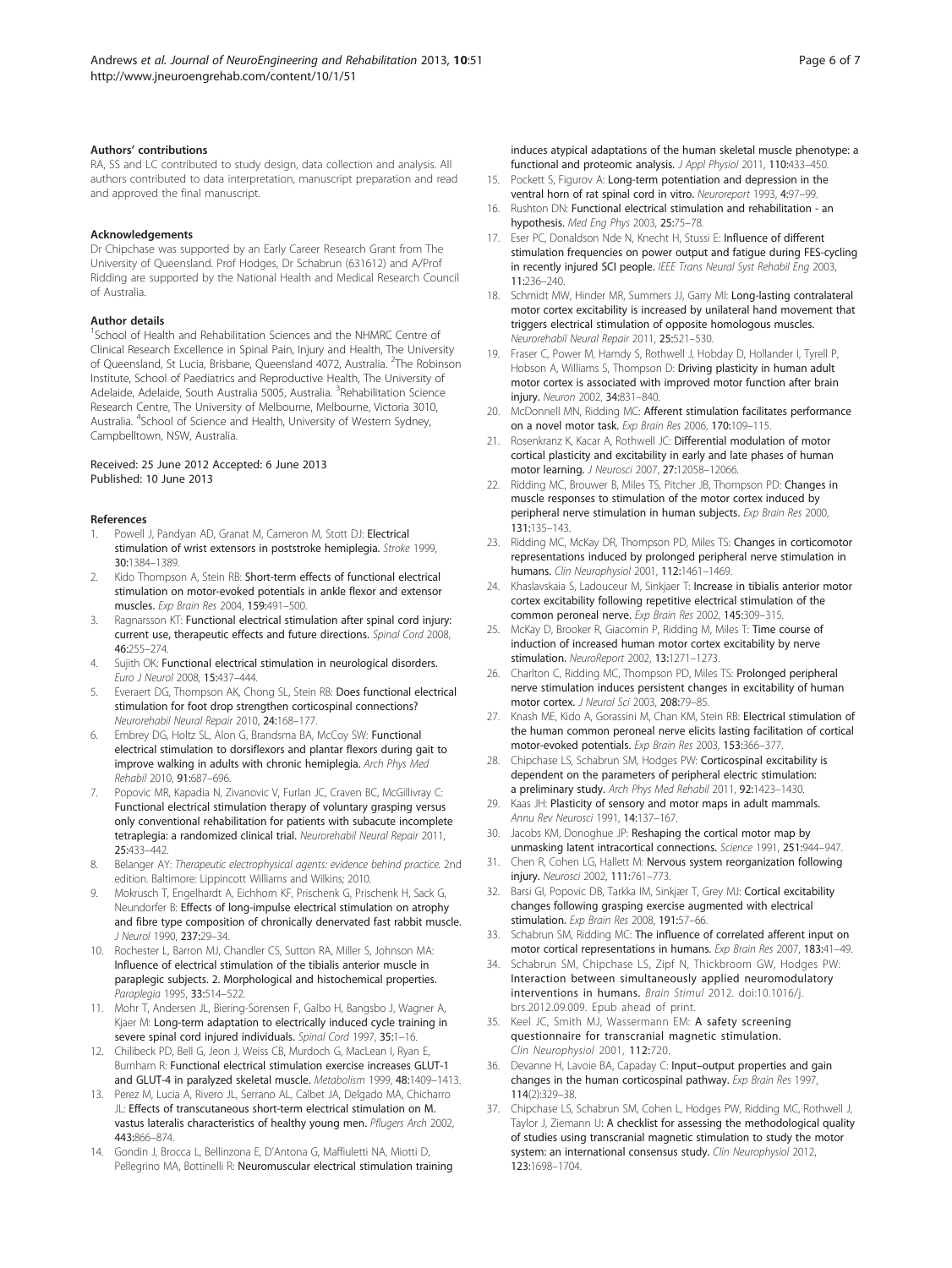#### <span id="page-5-0"></span>Authors' contributions

RA, SS and LC contributed to study design, data collection and analysis. All authors contributed to data interpretation, manuscript preparation and read and approved the final manuscript.

Acknowledgements

Dr Chipchase was supported by an Early Career Research Grant from The University of Queensland. Prof Hodges, Dr Schabrun (631612) and A/Prof Ridding are supported by the National Health and Medical Research Council of Australia.

#### Author details

<sup>1</sup>School of Health and Rehabilitation Sciences and the NHMRC Centre of Clinical Research Excellence in Spinal Pain, Injury and Health, The University of Queensland, St Lucia, Brisbane, Queensland 4072, Australia. <sup>2</sup>The Robinson Institute, School of Paediatrics and Reproductive Health, The University of Adelaide, Adelaide, South Australia 5005, Australia. <sup>3</sup>Rehabilitation Science Research Centre, The University of Melbourne, Melbourne, Victoria 3010, Australia. <sup>4</sup>School of Science and Health, University of Western Sydney, Campbelltown, NSW, Australia.

#### Received: 25 June 2012 Accepted: 6 June 2013 Published: 10 June 2013

#### References

- 1. Powell J, Pandyan AD, Granat M, Cameron M, Stott DJ: Electrical stimulation of wrist extensors in poststroke hemiplegia. Stroke 1999, 30:1384–1389.
- 2. Kido Thompson A, Stein RB: Short-term effects of functional electrical stimulation on motor-evoked potentials in ankle flexor and extensor muscles. Exp Brain Res 2004, 159:491–500.
- 3. Ragnarsson KT: Functional electrical stimulation after spinal cord injury: current use, therapeutic effects and future directions. Spinal Cord 2008, 46:255–274.
- 4. Sujith OK: Functional electrical stimulation in neurological disorders. Euro J Neurol 2008, 15:437–444.
- Everaert DG, Thompson AK, Chong SL, Stein RB: Does functional electrical stimulation for foot drop strengthen corticospinal connections? Neurorehabil Neural Repair 2010, 24:168–177.
- Embrey DG, Holtz SL, Alon G, Brandsma BA, McCoy SW: Functional electrical stimulation to dorsiflexors and plantar flexors during gait to improve walking in adults with chronic hemiplegia. Arch Phys Med Rehabil 2010, 91:687–696.
- 7. Popovic MR, Kapadia N, Zivanovic V, Furlan JC, Craven BC, McGillivray C: Functional electrical stimulation therapy of voluntary grasping versus only conventional rehabilitation for patients with subacute incomplete tetraplegia: a randomized clinical trial. Neurorehabil Neural Repair 2011, 25:433–442.
- 8. Belanger AY: Therapeutic electrophysical agents: evidence behind practice. 2nd edition. Baltimore: Lippincott Williams and Wilkins; 2010.
- 9. Mokrusch T, Engelhardt A, Eichhorn KF, Prischenk G, Prischenk H, Sack G, Neundorfer B: Effects of long-impulse electrical stimulation on atrophy and fibre type composition of chronically denervated fast rabbit muscle. J Neurol 1990, 237:29–34.
- 10. Rochester L, Barron MJ, Chandler CS, Sutton RA, Miller S, Johnson MA: Influence of electrical stimulation of the tibialis anterior muscle in paraplegic subjects. 2. Morphological and histochemical properties. Paraplegia 1995, 33:514–522.
- 11. Mohr T, Andersen JL, Biering-Sorensen F, Galbo H, Bangsbo J, Wagner A, Kjaer M: Long-term adaptation to electrically induced cycle training in severe spinal cord injured individuals. Spinal Cord 1997, 35:1-16.
- 12. Chilibeck PD, Bell G, Jeon J, Weiss CB, Murdoch G, MacLean I, Ryan E, Burnham R: Functional electrical stimulation exercise increases GLUT-1 and GLUT-4 in paralyzed skeletal muscle. Metabolism 1999, 48:1409–1413.
- 13. Perez M, Lucia A, Rivero JL, Serrano AL, Calbet JA, Delgado MA, Chicharro JL: Effects of transcutaneous short-term electrical stimulation on M. vastus lateralis characteristics of healthy young men. Pflugers Arch 2002, 443:866–874.
- 14. Gondin J, Brocca L, Bellinzona E, D'Antona G, Maffiuletti NA, Miotti D, Pellegrino MA, Bottinelli R: Neuromuscular electrical stimulation training

induces atypical adaptations of the human skeletal muscle phenotype: a functional and proteomic analysis. J Appl Physiol 2011, 110:433–450.

- 15. Pockett S, Figurov A: Long-term potentiation and depression in the ventral horn of rat spinal cord in vitro. Neuroreport 1993, 4:97-99.
- 16. Rushton DN: Functional electrical stimulation and rehabilitation an hypothesis. Med Eng Phys 2003, 25:75–78.
- 17. Eser PC, Donaldson Nde N, Knecht H, Stussi E: Influence of different stimulation frequencies on power output and fatigue during FES-cycling in recently injured SCI people. IEEE Trans Neural Syst Rehabil Eng 2003, 11:236–240.
- 18. Schmidt MW, Hinder MR, Summers JJ, Garry MI: Long-lasting contralateral motor cortex excitability is increased by unilateral hand movement that triggers electrical stimulation of opposite homologous muscles. Neurorehabil Neural Repair 2011, 25:521–530.
- 19. Fraser C, Power M, Hamdy S, Rothwell J, Hobday D, Hollander I, Tyrell P, Hobson A, Williams S, Thompson D: Driving plasticity in human adult motor cortex is associated with improved motor function after brain injury. Neuron 2002, 34:831–840.
- 20. McDonnell MN, Ridding MC: Afferent stimulation facilitates performance on a novel motor task. Exp Brain Res 2006, 170:109–115.
- 21. Rosenkranz K, Kacar A, Rothwell JC: Differential modulation of motor cortical plasticity and excitability in early and late phases of human motor learning. J Neurosci 2007, 27:12058–12066.
- 22. Ridding MC, Brouwer B, Miles TS, Pitcher JB, Thompson PD: Changes in muscle responses to stimulation of the motor cortex induced by peripheral nerve stimulation in human subjects. Exp Brain Res 2000, 131:135–143.
- 23. Ridding MC, McKay DR, Thompson PD, Miles TS: Changes in corticomotor representations induced by prolonged peripheral nerve stimulation in humans. Clin Neurophysiol 2001, 112:1461–1469.
- 24. Khaslavskaia S, Ladouceur M, Sinkjaer T: Increase in tibialis anterior motor cortex excitability following repetitive electrical stimulation of the common peroneal nerve. Exp Brain Res 2002, 145:309–315.
- 25. McKay D, Brooker R, Giacomin P, Ridding M, Miles T: Time course of induction of increased human motor cortex excitability by nerve stimulation. NeuroReport 2002, 13:1271–1273.
- 26. Charlton C, Ridding MC, Thompson PD, Miles TS: Prolonged peripheral nerve stimulation induces persistent changes in excitability of human motor cortex. J Neurol Sci 2003, 208:79-85.
- 27. Knash ME, Kido A, Gorassini M, Chan KM, Stein RB: Electrical stimulation of the human common peroneal nerve elicits lasting facilitation of cortical motor-evoked potentials. Exp Brain Res 2003, 153:366–377.
- 28. Chipchase LS, Schabrun SM, Hodges PW: Corticospinal excitability is dependent on the parameters of peripheral electric stimulation: a preliminary study. Arch Phys Med Rehabil 2011, 92:1423–1430.
- 29. Kaas JH: Plasticity of sensory and motor maps in adult mammals. Annu Rev Neurosci 1991, 14:137–167.
- 30. Jacobs KM, Donoghue JP: Reshaping the cortical motor map by unmasking latent intracortical connections. Science 1991, 251:944–947.
- 31. Chen R, Cohen LG, Hallett M: Nervous system reorganization following injury. Neurosci 2002, 111:761–773.
- 32. Barsi GI, Popovic DB, Tarkka IM, Sinkjær T, Grey MJ: Cortical excitability changes following grasping exercise augmented with electrical stimulation. Exp Brain Res 2008, 191:57-66.
- 33. Schabrun SM, Ridding MC: The influence of correlated afferent input on motor cortical representations in humans. Exp Brain Res 2007, 183:41–49.
- 34. Schabrun SM, Chipchase LS, Zipf N, Thickbroom GW, Hodges PW: Interaction between simultaneously applied neuromodulatory interventions in humans. Brain Stimul 2012. doi:[10.1016/j.](http://dx.doi.org/10.1016/j.brs.2012.09.009) [brs.2012.09.009](http://dx.doi.org/10.1016/j.brs.2012.09.009). Epub ahead of print.
- 35. Keel JC, Smith MJ, Wassermann EM: A safety screening questionnaire for transcranial magnetic stimulation. Clin Neurophysiol 2001, 112:720.
- 36. Devanne H, Lavoie BA, Capaday C: Input–output properties and gain changes in the human corticospinal pathway. Exp Brain Res 1997, 114(2):329–38.
- 37. Chipchase LS, Schabrun SM, Cohen L, Hodges PW, Ridding MC, Rothwell J, Taylor J, Ziemann U: A checklist for assessing the methodological quality of studies using transcranial magnetic stimulation to study the motor system: an international consensus study. Clin Neurophysiol 2012, 123:1698–1704.